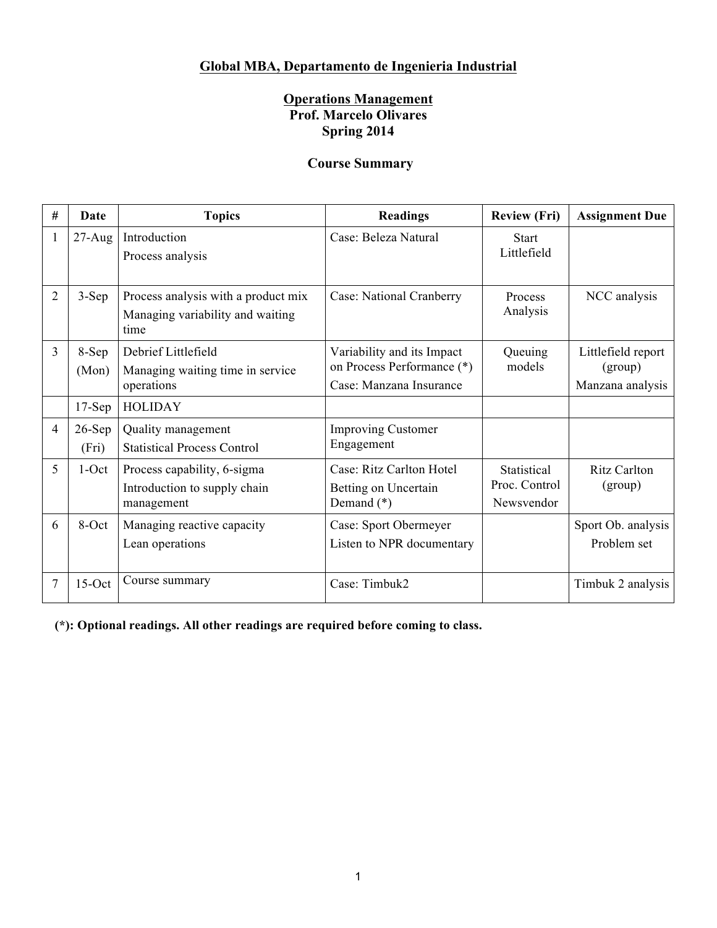# **Global MBA, Departamento de Ingenieria Industrial**

## **Operations Management Prof. Marcelo Olivares Spring 2014**

## **Course Summary**

| # | Date              | <b>Topics</b>                                                                   | <b>Readings</b>                                                                     | <b>Review (Fri)</b>                        | <b>Assignment Due</b>                             |
|---|-------------------|---------------------------------------------------------------------------------|-------------------------------------------------------------------------------------|--------------------------------------------|---------------------------------------------------|
| 1 | $27 - Aug$        | Introduction<br>Process analysis                                                | Case: Beleza Natural                                                                | <b>Start</b><br>Littlefield                |                                                   |
| 2 | $3-Sep$           | Process analysis with a product mix<br>Managing variability and waiting<br>time | Case: National Cranberry                                                            | Process<br>Analysis                        | NCC analysis                                      |
| 3 | 8-Sep<br>(Mon)    | Debrief Littlefield<br>Managing waiting time in service<br>operations           | Variability and its Impact<br>on Process Performance (*)<br>Case: Manzana Insurance | Queuing<br>models                          | Littlefield report<br>(group)<br>Manzana analysis |
|   | $17-Sep$          | <b>HOLIDAY</b>                                                                  |                                                                                     |                                            |                                                   |
| 4 | $26-Sep$<br>(Fri) | Quality management<br><b>Statistical Process Control</b>                        | <b>Improving Customer</b><br>Engagement                                             |                                            |                                                   |
| 5 | $1-Oct$           | Process capability, 6-sigma<br>Introduction to supply chain<br>management       | Case: Ritz Carlton Hotel<br>Betting on Uncertain<br>Demand $(*)$                    | Statistical<br>Proc. Control<br>Newsvendor | <b>Ritz Carlton</b><br>(group)                    |
| 6 | 8-Oct             | Managing reactive capacity<br>Lean operations                                   | Case: Sport Obermeyer<br>Listen to NPR documentary                                  |                                            | Sport Ob. analysis<br>Problem set                 |
| 7 | $15-Oct$          | Course summary                                                                  | Case: Timbuk2                                                                       |                                            | Timbuk 2 analysis                                 |

**(\*): Optional readings. All other readings are required before coming to class.**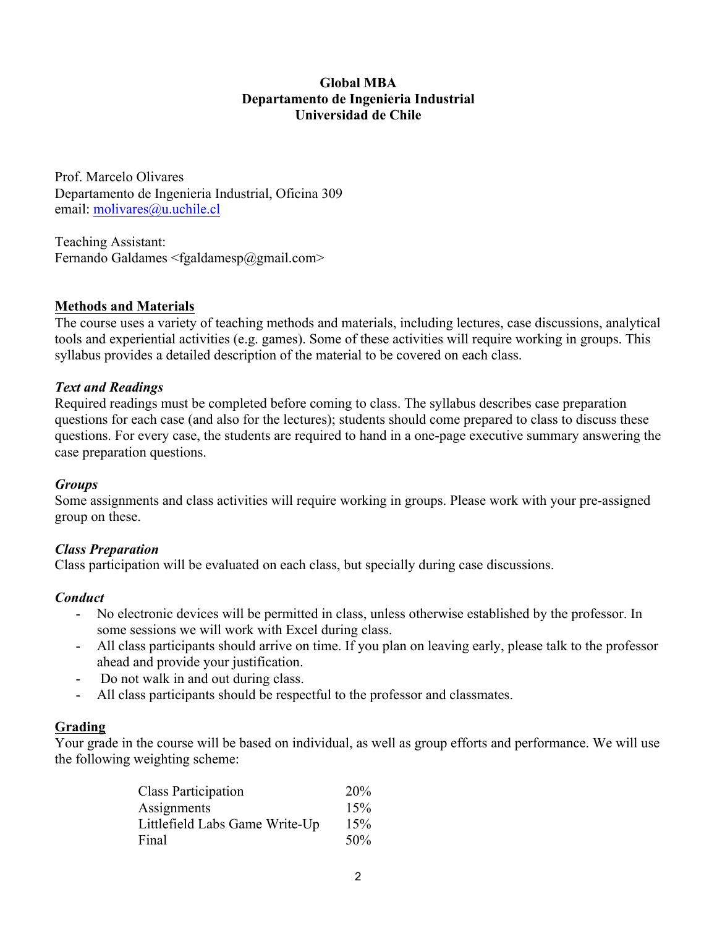#### **Global MBA Departamento de Ingenieria Industrial Universidad de Chile**

Prof. Marcelo Olivares Departamento de Ingenieria Industrial, Oficina 309 email: molivares@u.uchile.cl

Teaching Assistant: Fernando Galdames  $\leq$ fgaldamesp $\omega$ gmail.com>

## **Methods and Materials**

The course uses a variety of teaching methods and materials, including lectures, case discussions, analytical tools and experiential activities (e.g. games). Some of these activities will require working in groups. This syllabus provides a detailed description of the material to be covered on each class.

#### *Text and Readings*

Required readings must be completed before coming to class. The syllabus describes case preparation questions for each case (and also for the lectures); students should come prepared to class to discuss these questions. For every case, the students are required to hand in a one-page executive summary answering the case preparation questions.

#### *Groups*

Some assignments and class activities will require working in groups. Please work with your pre-assigned group on these.

## *Class Preparation*

Class participation will be evaluated on each class, but specially during case discussions.

#### *Conduct*

- No electronic devices will be permitted in class, unless otherwise established by the professor. In some sessions we will work with Excel during class.
- All class participants should arrive on time. If you plan on leaving early, please talk to the professor ahead and provide your justification.
- Do not walk in and out during class.
- All class participants should be respectful to the professor and classmates.

#### **Grading**

Your grade in the course will be based on individual, as well as group efforts and performance. We will use the following weighting scheme:

| <b>Class Participation</b>     | 20% |
|--------------------------------|-----|
| Assignments                    | 15% |
| Littlefield Labs Game Write-Up | 15% |
| Final                          | 50% |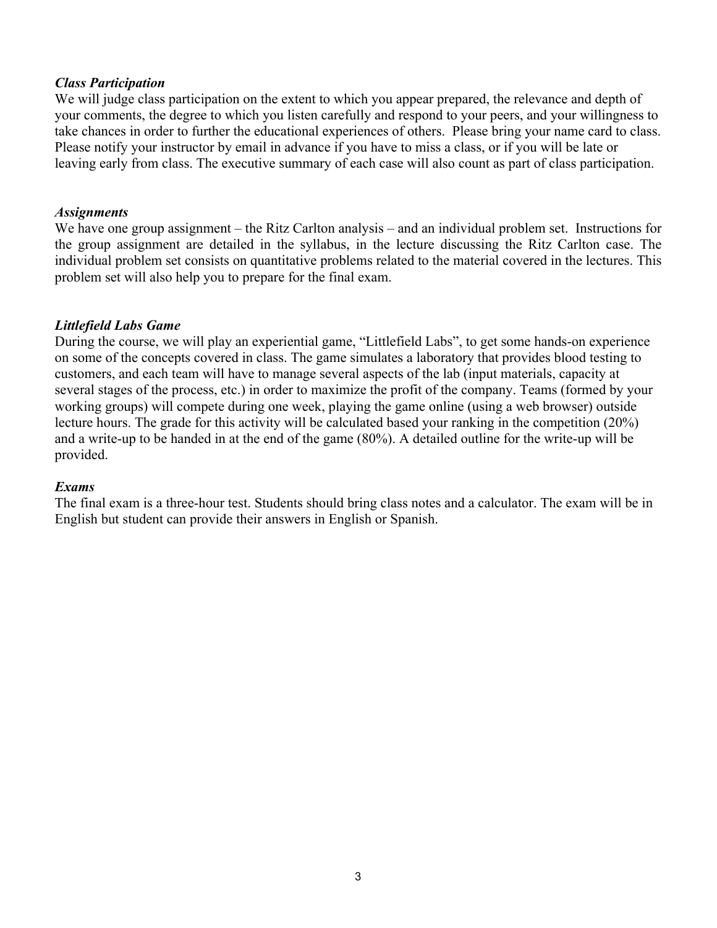### *Class Participation*

We will judge class participation on the extent to which you appear prepared, the relevance and depth of your comments, the degree to which you listen carefully and respond to your peers, and your willingness to take chances in order to further the educational experiences of others. Please bring your name card to class. Please notify your instructor by email in advance if you have to miss a class, or if you will be late or leaving early from class. The executive summary of each case will also count as part of class participation.

#### *Assignments*

We have one group assignment – the Ritz Carlton analysis – and an individual problem set. Instructions for the group assignment are detailed in the syllabus, in the lecture discussing the Ritz Carlton case. The individual problem set consists on quantitative problems related to the material covered in the lectures. This problem set will also help you to prepare for the final exam.

#### *Littlefield Labs Game*

During the course, we will play an experiential game, "Littlefield Labs", to get some hands-on experience on some of the concepts covered in class. The game simulates a laboratory that provides blood testing to customers, and each team will have to manage several aspects of the lab (input materials, capacity at several stages of the process, etc.) in order to maximize the profit of the company. Teams (formed by your working groups) will compete during one week, playing the game online (using a web browser) outside lecture hours. The grade for this activity will be calculated based your ranking in the competition (20%) and a write-up to be handed in at the end of the game (80%). A detailed outline for the write-up will be provided.

#### *Exams*

The final exam is a three-hour test. Students should bring class notes and a calculator. The exam will be in English but student can provide their answers in English or Spanish.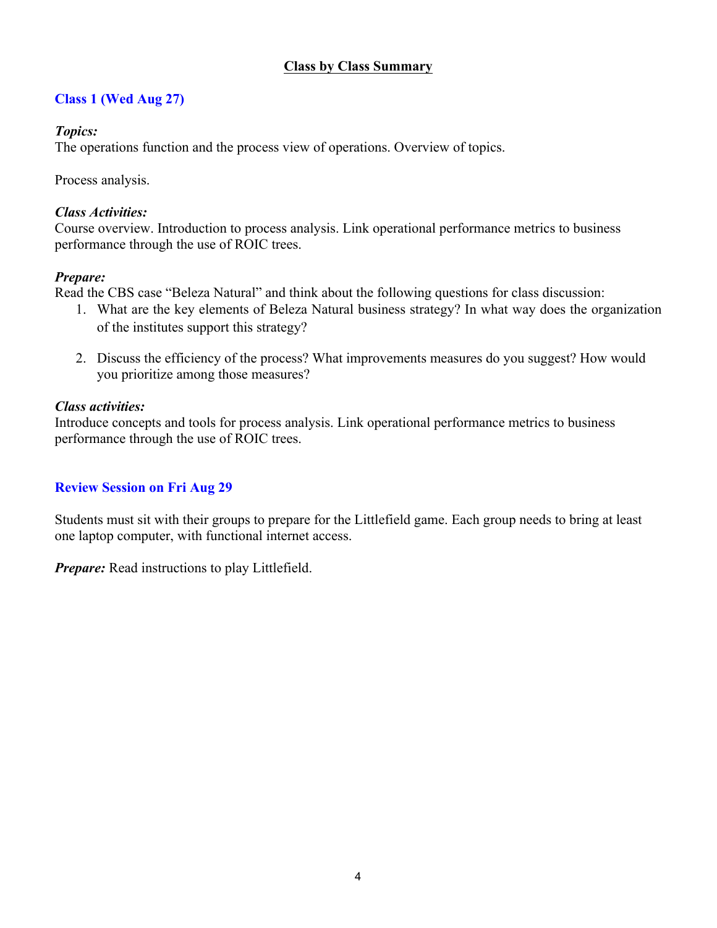## **Class by Class Summary**

# **Class 1 (Wed Aug 27)**

## *Topics:*

The operations function and the process view of operations. Overview of topics.

Process analysis.

## *Class Activities:*

Course overview. Introduction to process analysis. Link operational performance metrics to business performance through the use of ROIC trees.

## *Prepare:*

Read the CBS case "Beleza Natural" and think about the following questions for class discussion:

- 1. What are the key elements of Beleza Natural business strategy? In what way does the organization of the institutes support this strategy?
- 2. Discuss the efficiency of the process? What improvements measures do you suggest? How would you prioritize among those measures?

## *Class activities:*

Introduce concepts and tools for process analysis. Link operational performance metrics to business performance through the use of ROIC trees.

# **Review Session on Fri Aug 29**

Students must sit with their groups to prepare for the Littlefield game. Each group needs to bring at least one laptop computer, with functional internet access.

*Prepare:* Read instructions to play Littlefield.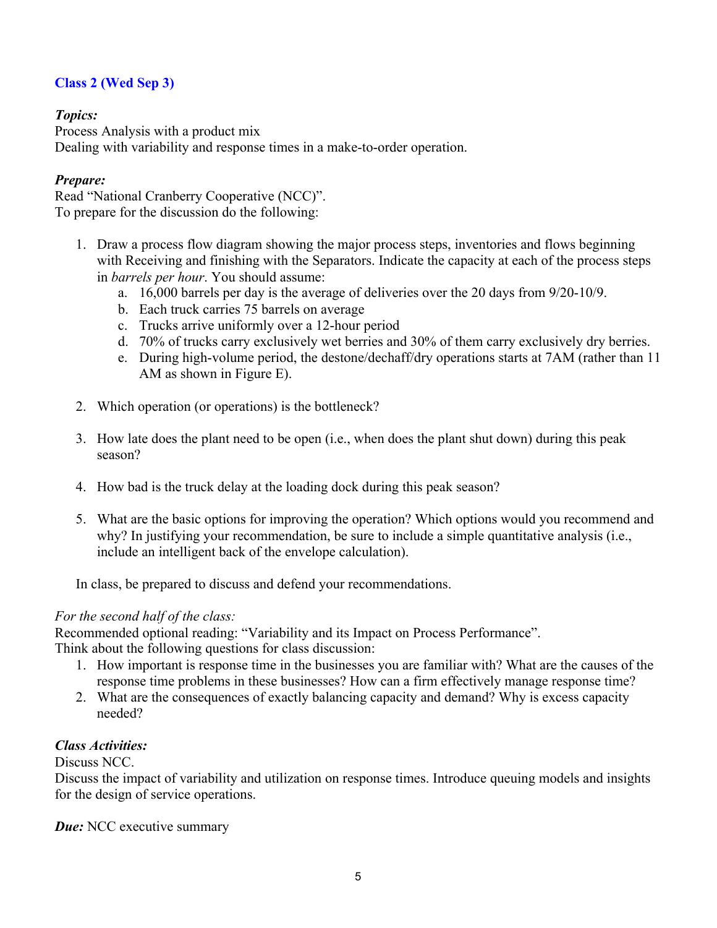# **Class 2 (Wed Sep 3)**

## *Topics:*

Process Analysis with a product mix Dealing with variability and response times in a make-to-order operation.

### *Prepare:*

Read "National Cranberry Cooperative (NCC)". To prepare for the discussion do the following:

- 1. Draw a process flow diagram showing the major process steps, inventories and flows beginning with Receiving and finishing with the Separators. Indicate the capacity at each of the process steps in *barrels per hour*. You should assume:
	- a. 16,000 barrels per day is the average of deliveries over the 20 days from 9/20-10/9.
	- b. Each truck carries 75 barrels on average
	- c. Trucks arrive uniformly over a 12-hour period
	- d. 70% of trucks carry exclusively wet berries and 30% of them carry exclusively dry berries.
	- e. During high-volume period, the destone/dechaff/dry operations starts at 7AM (rather than 11 AM as shown in Figure E).
- 2. Which operation (or operations) is the bottleneck?
- 3. How late does the plant need to be open (i.e., when does the plant shut down) during this peak season?
- 4. How bad is the truck delay at the loading dock during this peak season?
- 5. What are the basic options for improving the operation? Which options would you recommend and why? In justifying your recommendation, be sure to include a simple quantitative analysis (i.e., include an intelligent back of the envelope calculation).

In class, be prepared to discuss and defend your recommendations.

## *For the second half of the class:*

Recommended optional reading: "Variability and its Impact on Process Performance". Think about the following questions for class discussion:

- 1. How important is response time in the businesses you are familiar with? What are the causes of the response time problems in these businesses? How can a firm effectively manage response time?
- 2. What are the consequences of exactly balancing capacity and demand? Why is excess capacity needed?

#### *Class Activities:*

Discuss NCC.

Discuss the impact of variability and utilization on response times. Introduce queuing models and insights for the design of service operations.

*Due:* NCC executive summary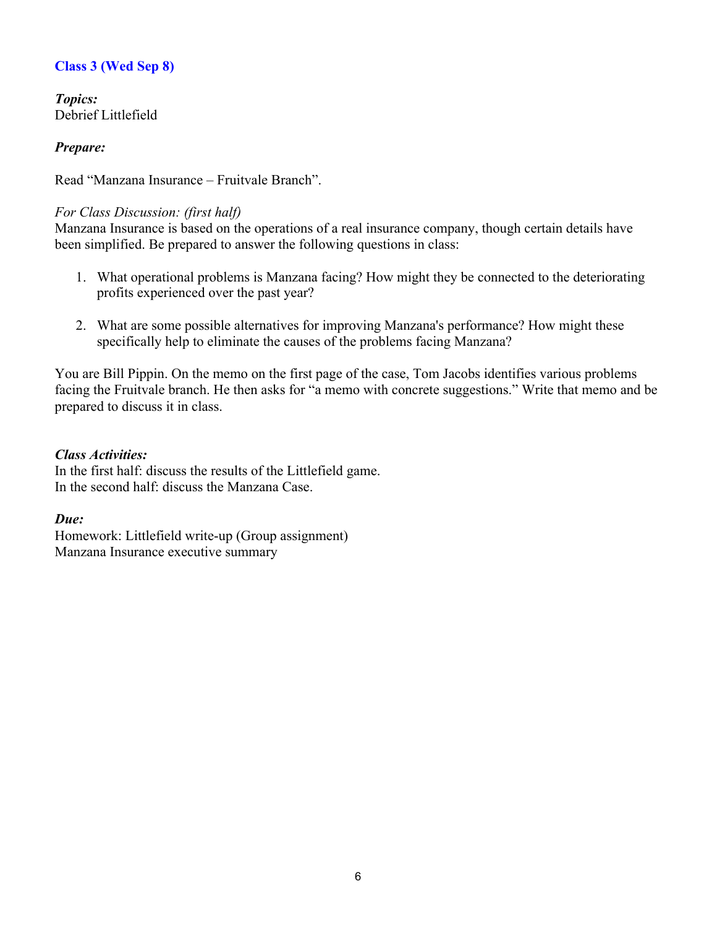# **Class 3 (Wed Sep 8)**

*Topics:*  Debrief Littlefield

## *Prepare:*

Read "Manzana Insurance – Fruitvale Branch".

### *For Class Discussion: (first half)*

Manzana Insurance is based on the operations of a real insurance company, though certain details have been simplified. Be prepared to answer the following questions in class:

- 1. What operational problems is Manzana facing? How might they be connected to the deteriorating profits experienced over the past year?
- 2. What are some possible alternatives for improving Manzana's performance? How might these specifically help to eliminate the causes of the problems facing Manzana?

You are Bill Pippin. On the memo on the first page of the case, Tom Jacobs identifies various problems facing the Fruitvale branch. He then asks for "a memo with concrete suggestions." Write that memo and be prepared to discuss it in class.

#### *Class Activities:*

In the first half: discuss the results of the Littlefield game. In the second half: discuss the Manzana Case.

## *Due:*

Homework: Littlefield write-up (Group assignment) Manzana Insurance executive summary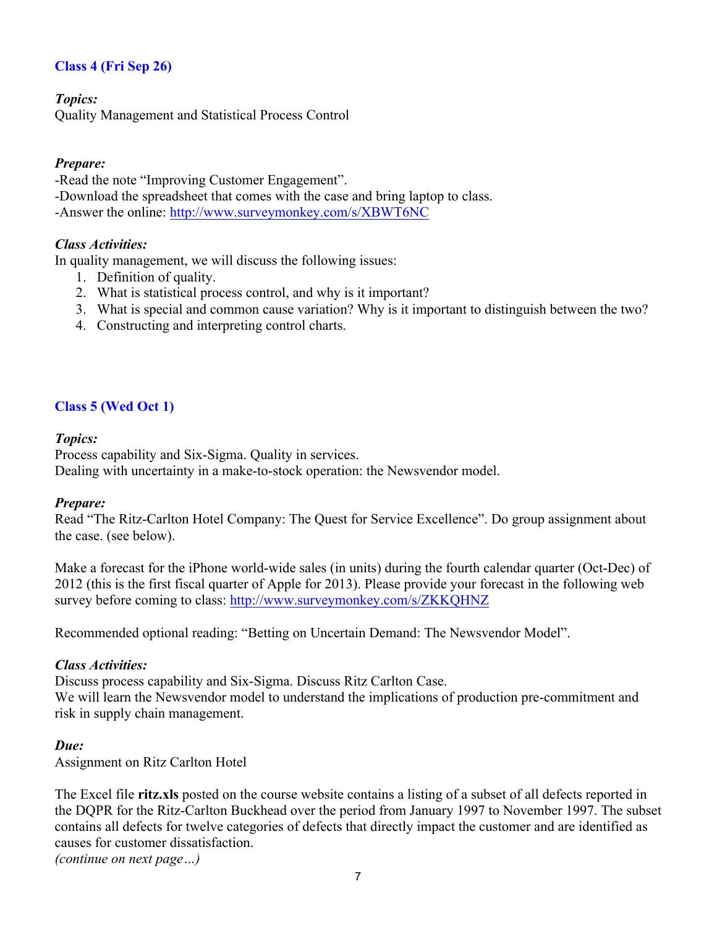# **Class 4 (Fri Sep 26)**

### *Topics:*

Quality Management and Statistical Process Control

### *Prepare:*

-Read the note "Improving Customer Engagement".

-Download the spreadsheet that comes with the case and bring laptop to class.

-Answer the online: http://www.surveymonkey.com/s/XBWT6NC

#### *Class Activities:*

In quality management, we will discuss the following issues:

- 1. Definition of quality.
- 2. What is statistical process control, and why is it important?
- 3. What is special and common cause variation? Why is it important to distinguish between the two?
- 4. Constructing and interpreting control charts.

## **Class 5 (Wed Oct 1)**

#### *Topics:*

Process capability and Six-Sigma. Quality in services. Dealing with uncertainty in a make-to-stock operation: the Newsvendor model.

#### *Prepare:*

Read "The Ritz-Carlton Hotel Company: The Quest for Service Excellence". Do group assignment about the case. (see below).

Make a forecast for the iPhone world-wide sales (in units) during the fourth calendar quarter (Oct-Dec) of 2012 (this is the first fiscal quarter of Apple for 2013). Please provide your forecast in the following web survey before coming to class: http://www.surveymonkey.com/s/ZKKQHNZ

Recommended optional reading: "Betting on Uncertain Demand: The Newsvendor Model".

#### *Class Activities:*

Discuss process capability and Six-Sigma. Discuss Ritz Carlton Case.

We will learn the Newsvendor model to understand the implications of production pre-commitment and risk in supply chain management.

#### *Due:*

Assignment on Ritz Carlton Hotel

The Excel file **ritz.xls** posted on the course website contains a listing of a subset of all defects reported in the DQPR for the Ritz-Carlton Buckhead over the period from January 1997 to November 1997. The subset contains all defects for twelve categories of defects that directly impact the customer and are identified as causes for customer dissatisfaction.

*(continue on next page…)*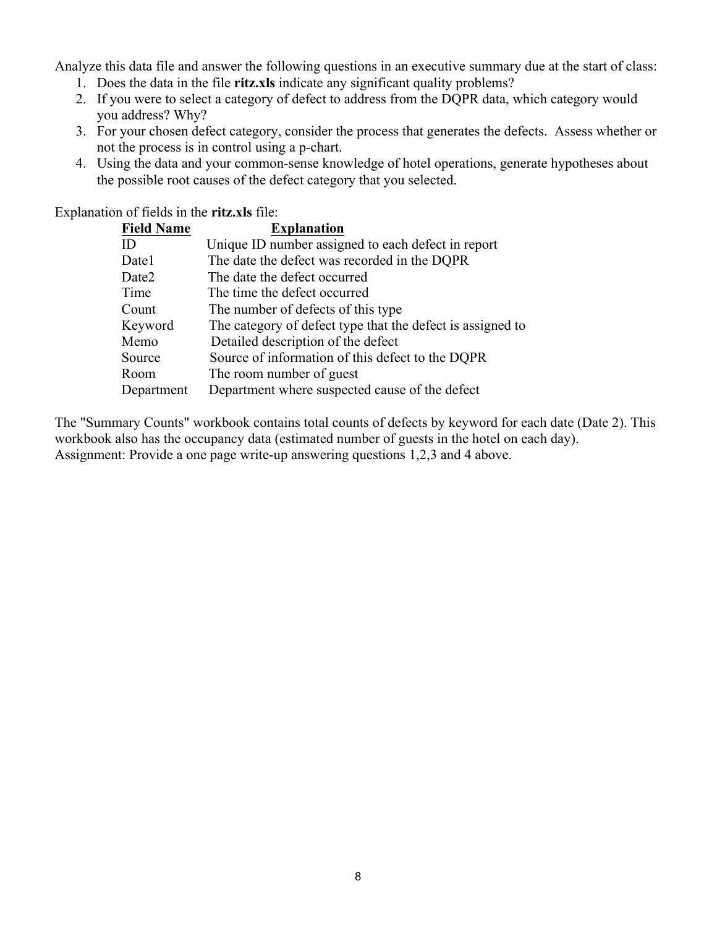Analyze this data file and answer the following questions in an executive summary due at the start of class:

- 1. Does the data in the file **ritz.xls** indicate any significant quality problems?
- 2. If you were to select a category of defect to address from the DQPR data, which category would you address? Why?
- 3. For your chosen defect category, consider the process that generates the defects. Assess whether or not the process is in control using a p-chart.
- 4. Using the data and your common-sense knowledge of hotel operations, generate hypotheses about the possible root causes of the defect category that you selected.

Explanation of fields in the **ritz.xls** file:

| <b>Field Name</b> | <b>Explanation</b>                                         |
|-------------------|------------------------------------------------------------|
| ID                | Unique ID number assigned to each defect in report         |
| Date1             | The date the defect was recorded in the DQPR               |
| Date2             | The date the defect occurred                               |
| Time              | The time the defect occurred                               |
| Count             | The number of defects of this type                         |
| Keyword           | The category of defect type that the defect is assigned to |
| Memo              | Detailed description of the defect                         |
| Source            | Source of information of this defect to the DQPR           |
| Room              | The room number of guest                                   |
| Department        | Department where suspected cause of the defect             |

The "Summary Counts" workbook contains total counts of defects by keyword for each date (Date 2). This workbook also has the occupancy data (estimated number of guests in the hotel on each day). Assignment: Provide a one page write-up answering questions 1,2,3 and 4 above.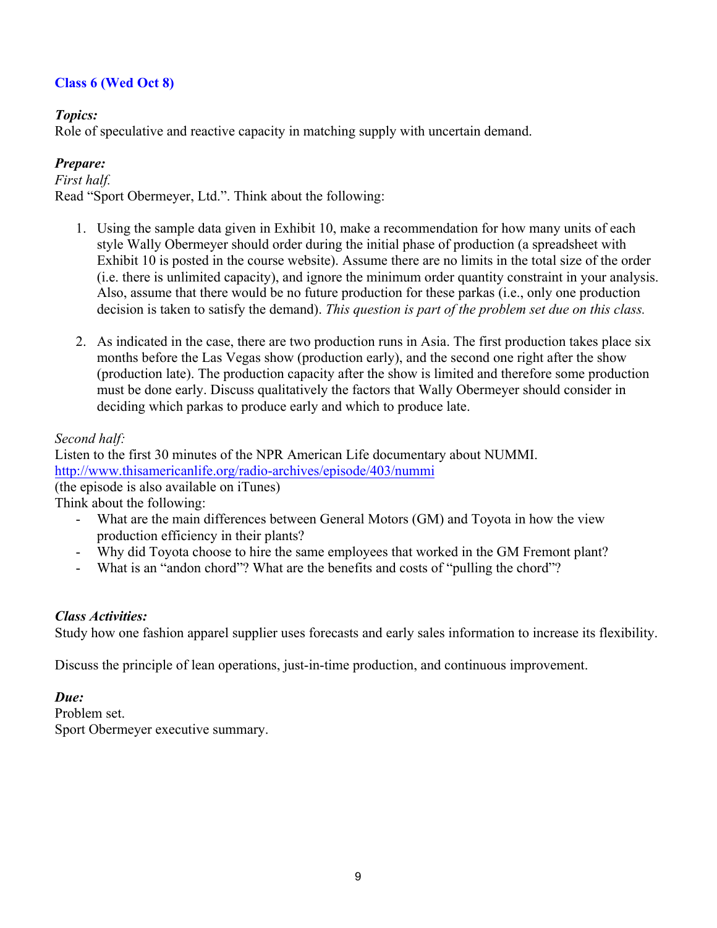# **Class 6 (Wed Oct 8)**

## *Topics:*

Role of speculative and reactive capacity in matching supply with uncertain demand.

## *Prepare:*

*First half.* Read "Sport Obermeyer, Ltd.". Think about the following:

- 1. Using the sample data given in Exhibit 10, make a recommendation for how many units of each style Wally Obermeyer should order during the initial phase of production (a spreadsheet with Exhibit 10 is posted in the course website). Assume there are no limits in the total size of the order (i.e. there is unlimited capacity), and ignore the minimum order quantity constraint in your analysis. Also, assume that there would be no future production for these parkas (i.e., only one production decision is taken to satisfy the demand). *This question is part of the problem set due on this class.*
- 2. As indicated in the case, there are two production runs in Asia. The first production takes place six months before the Las Vegas show (production early), and the second one right after the show (production late). The production capacity after the show is limited and therefore some production must be done early. Discuss qualitatively the factors that Wally Obermeyer should consider in deciding which parkas to produce early and which to produce late.

## *Second half:*

Listen to the first 30 minutes of the NPR American Life documentary about NUMMI. http://www.thisamericanlife.org/radio-archives/episode/403/nummi (the episode is also available on iTunes) Think about the following:

- What are the main differences between General Motors (GM) and Toyota in how the view production efficiency in their plants?
- Why did Toyota choose to hire the same employees that worked in the GM Fremont plant?
- What is an "andon chord"? What are the benefits and costs of "pulling the chord"?

## *Class Activities:*

Study how one fashion apparel supplier uses forecasts and early sales information to increase its flexibility.

Discuss the principle of lean operations, just-in-time production, and continuous improvement.

## *Due:*

Problem set. Sport Obermeyer executive summary.